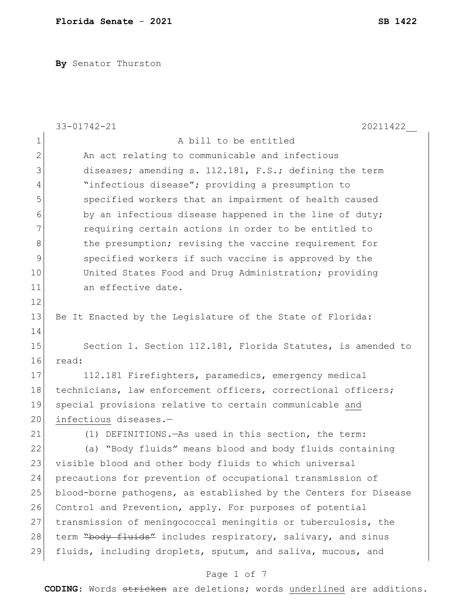**By** Senator Thurston

|                | $33 - 01742 - 21$<br>20211422                                    |  |  |  |  |  |  |  |  |  |
|----------------|------------------------------------------------------------------|--|--|--|--|--|--|--|--|--|
| $\mathbf 1$    | A bill to be entitled                                            |  |  |  |  |  |  |  |  |  |
| $\overline{2}$ | An act relating to communicable and infectious                   |  |  |  |  |  |  |  |  |  |
| 3              | diseases; amending s. 112.181, F.S.; defining the term           |  |  |  |  |  |  |  |  |  |
| 4              | "infectious disease"; providing a presumption to                 |  |  |  |  |  |  |  |  |  |
| 5              | specified workers that an impairment of health caused            |  |  |  |  |  |  |  |  |  |
| 6              | by an infectious disease happened in the line of duty;           |  |  |  |  |  |  |  |  |  |
| 7              | requiring certain actions in order to be entitled to             |  |  |  |  |  |  |  |  |  |
| $8\,$          | the presumption; revising the vaccine requirement for            |  |  |  |  |  |  |  |  |  |
| $\mathsf 9$    | specified workers if such vaccine is approved by the             |  |  |  |  |  |  |  |  |  |
| 10             | United States Food and Drug Administration; providing            |  |  |  |  |  |  |  |  |  |
| 11             | an effective date.                                               |  |  |  |  |  |  |  |  |  |
| 12             |                                                                  |  |  |  |  |  |  |  |  |  |
| 13             | Be It Enacted by the Legislature of the State of Florida:        |  |  |  |  |  |  |  |  |  |
| 14             |                                                                  |  |  |  |  |  |  |  |  |  |
| 15             | Section 1. Section 112.181, Florida Statutes, is amended to      |  |  |  |  |  |  |  |  |  |
| 16             | read:                                                            |  |  |  |  |  |  |  |  |  |
| 17             | 112.181 Firefighters, paramedics, emergency medical              |  |  |  |  |  |  |  |  |  |
| 18             | technicians, law enforcement officers, correctional officers;    |  |  |  |  |  |  |  |  |  |
| 19             | special provisions relative to certain communicable and          |  |  |  |  |  |  |  |  |  |
| 20             | infectious diseases.-                                            |  |  |  |  |  |  |  |  |  |
| 21             | (1) DEFINITIONS. - As used in this section, the term:            |  |  |  |  |  |  |  |  |  |
| 22             | (a) "Body fluids" means blood and body fluids containing         |  |  |  |  |  |  |  |  |  |
| 23             | visible blood and other body fluids to which universal           |  |  |  |  |  |  |  |  |  |
| 24             | precautions for prevention of occupational transmission of       |  |  |  |  |  |  |  |  |  |
| 25             | blood-borne pathogens, as established by the Centers for Disease |  |  |  |  |  |  |  |  |  |
| 26             | Control and Prevention, apply. For purposes of potential         |  |  |  |  |  |  |  |  |  |
| 27             | transmission of meningococcal meningitis or tuberculosis, the    |  |  |  |  |  |  |  |  |  |
| 28             | term "body fluids" includes respiratory, salivary, and sinus     |  |  |  |  |  |  |  |  |  |
| 29             | fluids, including droplets, sputum, and saliva, mucous, and      |  |  |  |  |  |  |  |  |  |

# Page 1 of 7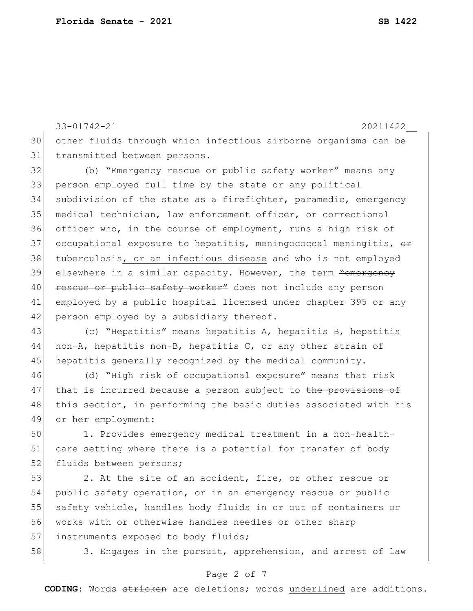33-01742-21 20211422\_\_ 30 other fluids through which infectious airborne organisms can be 31 transmitted between persons.

 (b) "Emergency rescue or public safety worker" means any person employed full time by the state or any political subdivision of the state as a firefighter, paramedic, emergency medical technician, law enforcement officer, or correctional officer who, in the course of employment, runs a high risk of 37 occupational exposure to hepatitis, meningococcal meningitis,  $\theta$ r tuberculosis, or an infectious disease and who is not employed 39 elsewhere in a similar capacity. However, the term <del>"emergency</del> 40 rescue or public safety worker" does not include any person employed by a public hospital licensed under chapter 395 or any 42 person employed by a subsidiary thereof.

43 (c) "Hepatitis" means hepatitis A, hepatitis B, hepatitis 44 non-A, hepatitis non-B, hepatitis  $C$ , or any other strain of 45 hepatitis generally recognized by the medical community.

46 (d) "High risk of occupational exposure" means that risk 47 that is incurred because a person subject to the provisions of 48 this section, in performing the basic duties associated with his 49 or her employment:

50 1. Provides emergency medical treatment in a non-health-51 care setting where there is a potential for transfer of body 52 fluids between persons;

53 2. At the site of an accident, fire, or other rescue or 54 public safety operation, or in an emergency rescue or public 55 safety vehicle, handles body fluids in or out of containers or 56 works with or otherwise handles needles or other sharp 57 instruments exposed to body fluids;

58 3. Engages in the pursuit, apprehension, and arrest of law

## Page 2 of 7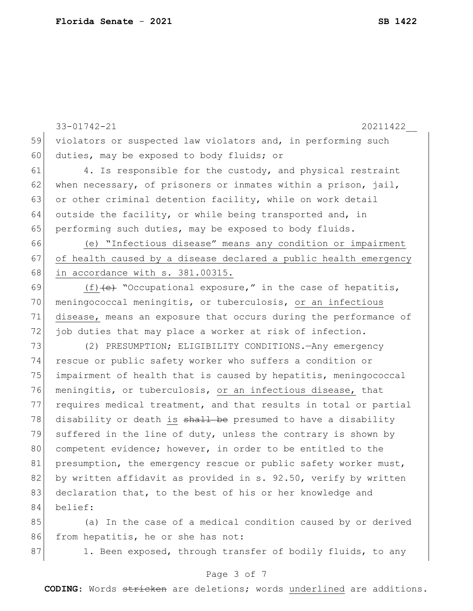33-01742-21 20211422\_\_ Page 3 of 7 **CODING**: Words stricken are deletions; words underlined are additions. 59 violators or suspected law violators and, in performing such 60 duties, may be exposed to body fluids; or 61 4. Is responsible for the custody, and physical restraint 62 when necessary, of prisoners or inmates within a prison, jail, 63 or other criminal detention facility, while on work detail 64 outside the facility, or while being transported and, in 65 performing such duties, may be exposed to body fluids. 66 (e) "Infectious disease" means any condition or impairment 67 of health caused by a disease declared a public health emergency 68 in accordance with s. 381.00315. 69  $(f)$  (f)  $\leftrightarrow$  "Occupational exposure," in the case of hepatitis, 70 meningococcal meningitis, or tuberculosis, or an infectious 71 disease, means an exposure that occurs during the performance of 72 job duties that may place a worker at risk of infection. 73 (2) PRESUMPTION; ELIGIBILITY CONDITIONS. Any emergency 74 rescue or public safety worker who suffers a condition or 75 impairment of health that is caused by hepatitis, meningococcal 76 meningitis, or tuberculosis, or an infectious disease, that 77 requires medical treatment, and that results in total or partial 78 disability or death is shall be presumed to have a disability 79 suffered in the line of duty, unless the contrary is shown by 80 competent evidence; however, in order to be entitled to the 81 presumption, the emergency rescue or public safety worker must, 82 by written affidavit as provided in s. 92.50, verify by written 83 declaration that, to the best of his or her knowledge and 84 belief: 85 (a) In the case of a medical condition caused by or derived 86 from hepatitis, he or she has not: 87 1. Been exposed, through transfer of bodily fluids, to any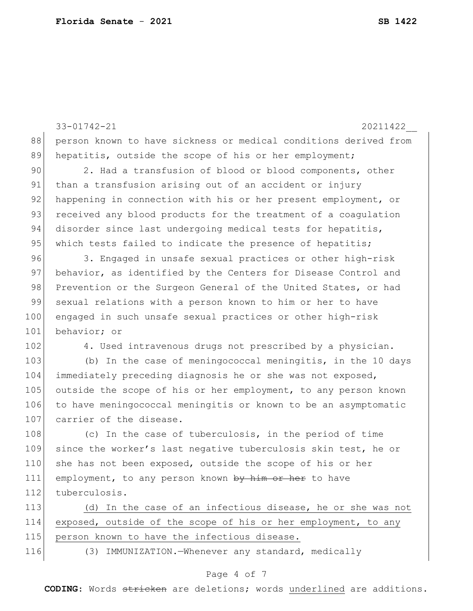33-01742-21 20211422\_\_ 88 person known to have sickness or medical conditions derived from 89 hepatitis, outside the scope of his or her employment; 90 2. Had a transfusion of blood or blood components, other 91 than a transfusion arising out of an accident or injury 92 happening in connection with his or her present employment, or 93 received any blood products for the treatment of a coagulation 94 disorder since last undergoing medical tests for hepatitis, 95 which tests failed to indicate the presence of hepatitis; 96 3. Engaged in unsafe sexual practices or other high-risk 97 behavior, as identified by the Centers for Disease Control and 98 Prevention or the Surgeon General of the United States, or had 99 sexual relations with a person known to him or her to have 100 engaged in such unsafe sexual practices or other high-risk 101 behavior; or 102 4. Used intravenous drugs not prescribed by a physician. 103 (b) In the case of meningococcal meningitis, in the 10 days 104 immediately preceding diagnosis he or she was not exposed, 105 outside the scope of his or her employment, to any person known 106 to have meningococcal meningitis or known to be an asymptomatic 107 carrier of the disease. 108 (c) In the case of tuberculosis, in the period of time 109 since the worker's last negative tuberculosis skin test, he or 110 she has not been exposed, outside the scope of his or her 111 employment, to any person known by him or her to have 112 tuberculosis. 113 (d) In the case of an infectious disease, he or she was not 114 exposed, outside of the scope of his or her employment, to any 115 person known to have the infectious disease. 116 (3) IMMUNIZATION.—Whenever any standard, medically

#### Page 4 of 7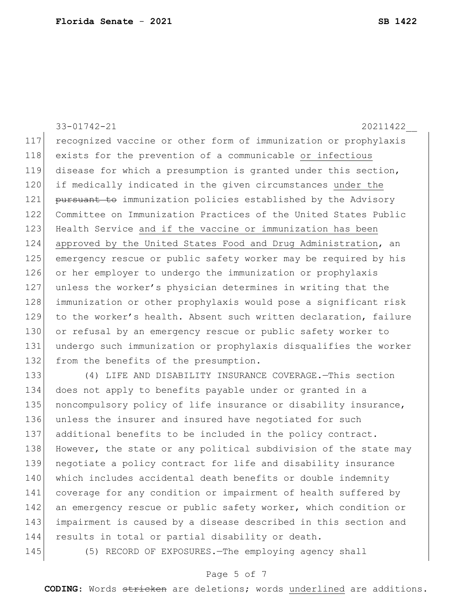33-01742-21 20211422\_\_ recognized vaccine or other form of immunization or prophylaxis exists for the prevention of a communicable or infectious disease for which a presumption is granted under this section, if medically indicated in the given circumstances under the 121 pursuant to immunization policies established by the Advisory Committee on Immunization Practices of the United States Public 123 Health Service and if the vaccine or immunization has been approved by the United States Food and Drug Administration, an emergency rescue or public safety worker may be required by his or her employer to undergo the immunization or prophylaxis unless the worker's physician determines in writing that the immunization or other prophylaxis would pose a significant risk 129 to the worker's health. Absent such written declaration, failure 130 or refusal by an emergency rescue or public safety worker to undergo such immunization or prophylaxis disqualifies the worker 132 from the benefits of the presumption. (4) LIFE AND DISABILITY INSURANCE COVERAGE.—This section does not apply to benefits payable under or granted in a 135 | noncompulsory policy of life insurance or disability insurance, unless the insurer and insured have negotiated for such additional benefits to be included in the policy contract. 138 However, the state or any political subdivision of the state may negotiate a policy contract for life and disability insurance 140 which includes accidental death benefits or double indemnity

142 an emergency rescue or public safety worker, which condition or 143 impairment is caused by a disease described in this section and 144 results in total or partial disability or death.

141 coverage for any condition or impairment of health suffered by

145 (5) RECORD OF EXPOSURES.—The employing agency shall

#### Page 5 of 7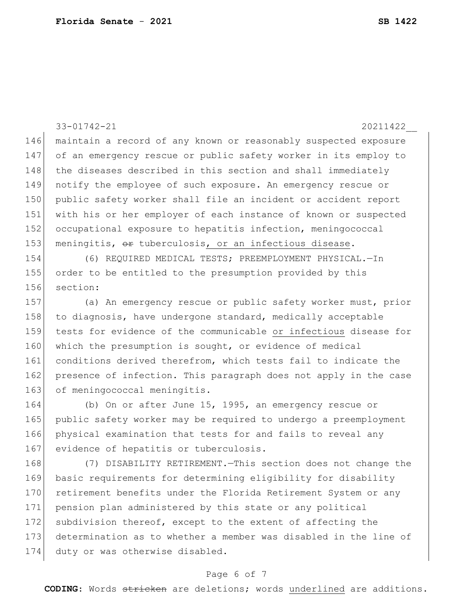33-01742-21 20211422\_\_ 146 maintain a record of any known or reasonably suspected exposure 147 of an emergency rescue or public safety worker in its employ to 148 the diseases described in this section and shall immediately 149 notify the employee of such exposure. An emergency rescue or 150 public safety worker shall file an incident or accident report 151 with his or her employer of each instance of known or suspected 152 occupational exposure to hepatitis infection, meningococcal 153 meningitis, or tuberculosis, or an infectious disease. 154 (6) REQUIRED MEDICAL TESTS; PREEMPLOYMENT PHYSICAL.—In 155 order to be entitled to the presumption provided by this 156 section: 157 (a) An emergency rescue or public safety worker must, prior 158 to diagnosis, have undergone standard, medically acceptable 159 tests for evidence of the communicable or infectious disease for 160 which the presumption is sought, or evidence of medical 161 conditions derived therefrom, which tests fail to indicate the 162 presence of infection. This paragraph does not apply in the case 163 of meningococcal meningitis. 164 (b) On or after June 15, 1995, an emergency rescue or 165 public safety worker may be required to undergo a preemployment 166 physical examination that tests for and fails to reveal any 167 evidence of hepatitis or tuberculosis. 168 (7) DISABILITY RETIREMENT.—This section does not change the 169 basic requirements for determining eligibility for disability 170 retirement benefits under the Florida Retirement System or any 171 pension plan administered by this state or any political 172 subdivision thereof, except to the extent of affecting the

# 173 determination as to whether a member was disabled in the line of 174 duty or was otherwise disabled.

## Page 6 of 7